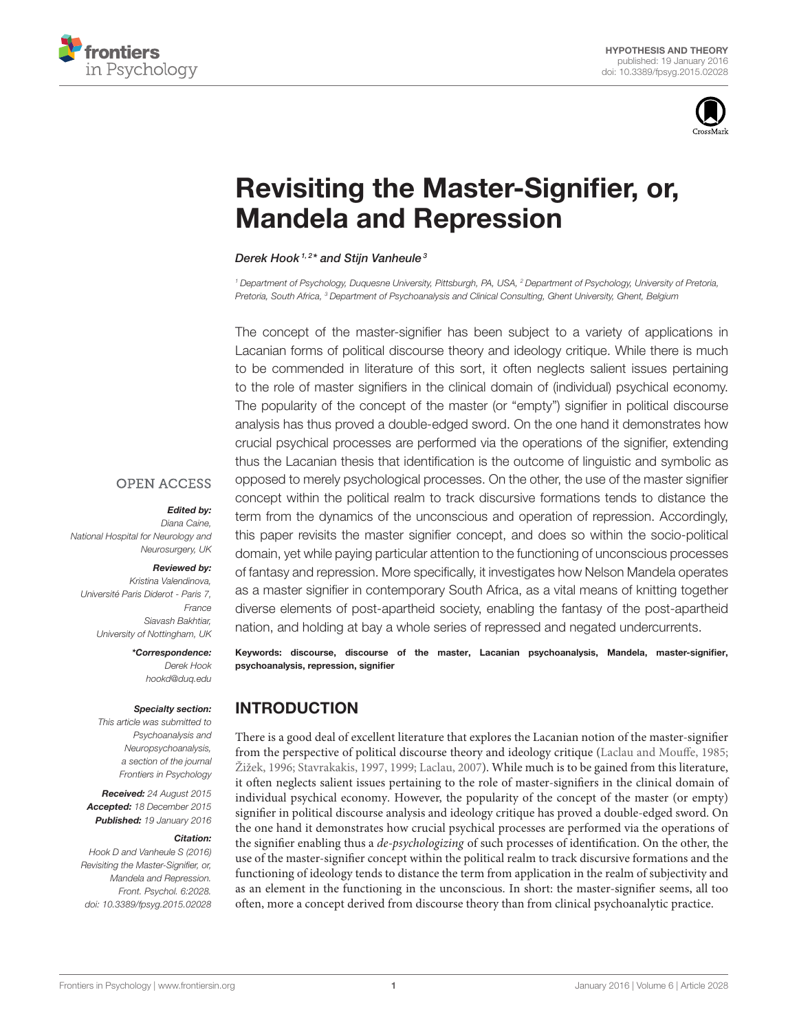



# [Revisiting the Master-Signifier, or,](http://journal.frontiersin.org/article/10.3389/fpsyg.2015.02028/abstract) Mandela and Repression

#### [Derek Hook](http://loop.frontiersin.org/people/267345/overview) 1,2\* and [Stijn Vanheule](http://loop.frontiersin.org/people/12963/overview) 3

<sup>1</sup> Department of Psychology, Duguesne University, Pittsburgh, PA, USA, <sup>2</sup> Department of Psychology, University of Pretoria, Pretoria, South Africa, <sup>3</sup> Department of Psychoanalysis and Clinical Consulting, Ghent University, Ghent, Belgium

The concept of the master-signifier has been subject to a variety of applications in Lacanian forms of political discourse theory and ideology critique. While there is much to be commended in literature of this sort, it often neglects salient issues pertaining to the role of master signifiers in the clinical domain of (individual) psychical economy. The popularity of the concept of the master (or "empty") signifier in political discourse analysis has thus proved a double-edged sword. On the one hand it demonstrates how crucial psychical processes are performed via the operations of the signifier, extending thus the Lacanian thesis that identification is the outcome of linguistic and symbolic as opposed to merely psychological processes. On the other, the use of the master signifier concept within the political realm to track discursive formations tends to distance the term from the dynamics of the unconscious and operation of repression. Accordingly, this paper revisits the master signifier concept, and does so within the socio-political domain, yet while paying particular attention to the functioning of unconscious processes of fantasy and repression. More specifically, it investigates how Nelson Mandela operates as a master signifier in contemporary South Africa, as a vital means of knitting together diverse elements of post-apartheid society, enabling the fantasy of the post-apartheid nation, and holding at bay a whole series of repressed and negated undercurrents.

Keywords: discourse, discourse of the master, Lacanian psychoanalysis, Mandela, master-signifier, psychoanalysis, repression, signifier

## INTRODUCTION

There is a good deal of excellent literature that explores the Lacanian notion of the master-signifier from the perspective of political discourse theory and ideology critique [\(Laclau and Mouffe, 1985;](#page-9-0) [Žižek, 1996;](#page-9-1) [Stavrakakis, 1997,](#page-9-2) [1999;](#page-9-3) [Laclau, 2007\)](#page-9-4). While much is to be gained from this literature, it often neglects salient issues pertaining to the role of master-signifiers in the clinical domain of individual psychical economy. However, the popularity of the concept of the master (or empty) signifier in political discourse analysis and ideology critique has proved a double-edged sword. On the one hand it demonstrates how crucial psychical processes are performed via the operations of the signifier enabling thus a de-psychologizing of such processes of identification. On the other, the use of the master-signifier concept within the political realm to track discursive formations and the functioning of ideology tends to distance the term from application in the realm of subjectivity and as an element in the functioning in the unconscious. In short: the master-signifier seems, all too often, more a concept derived from discourse theory than from clinical psychoanalytic practice.

**OPEN ACCESS** 

#### Edited by:

Diana Caine, National Hospital for Neurology and Neurosurgery, UK

#### Reviewed by:

Kristina Valendinova, Université Paris Diderot - Paris 7, France Siavash Bakhtiar, University of Nottingham, UK

> \*Correspondence: Derek Hook [hookd@duq.edu](mailto:hookd@duq.edu)

#### Specialty section:

This article was submitted to Psychoanalysis and Neuropsychoanalysis, a section of the journal Frontiers in Psychology

Received: 24 August 2015 Accepted: 18 December 2015 Published: 19 January 2016

#### Citation:

Hook D and Vanheule S (2016) Revisiting the Master-Signifier, or, Mandela and Repression. Front. Psychol. 6:2028. doi: [10.3389/fpsyg.2015.02028](http://dx.doi.org/10.3389/fpsyg.2015.02028)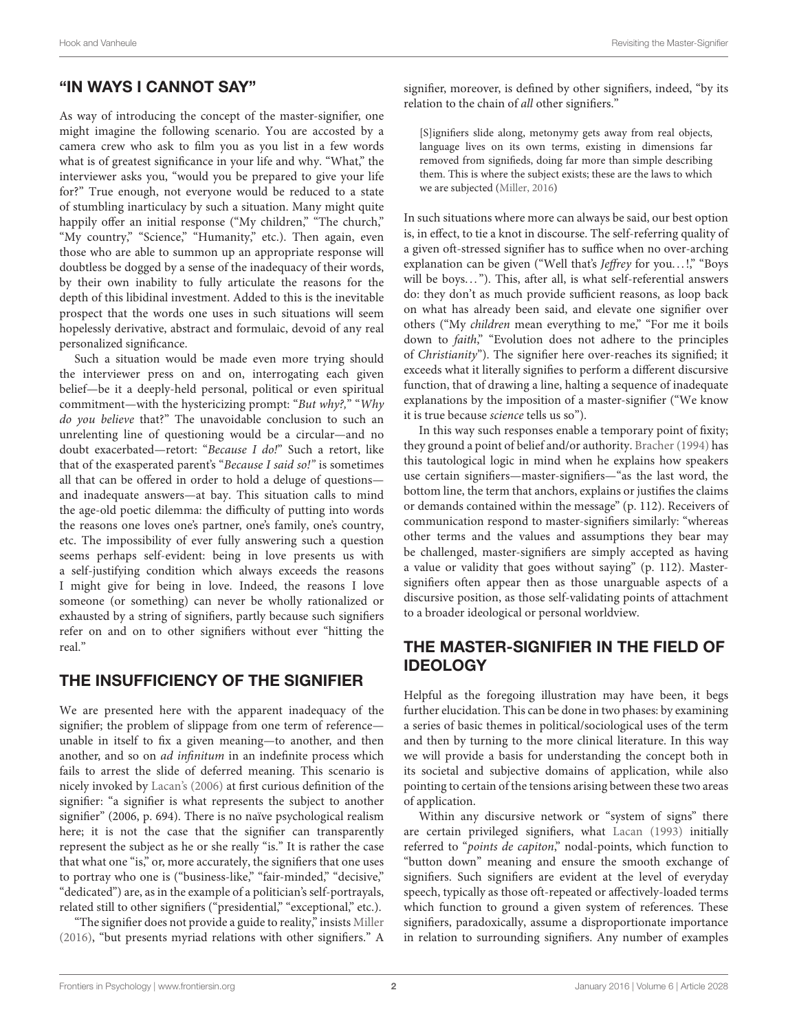## "IN WAYS I CANNOT SAY"

As way of introducing the concept of the master-signifier, one might imagine the following scenario. You are accosted by a camera crew who ask to film you as you list in a few words what is of greatest significance in your life and why. "What," the interviewer asks you, "would you be prepared to give your life for?" True enough, not everyone would be reduced to a state of stumbling inarticulacy by such a situation. Many might quite happily offer an initial response ("My children," "The church," "My country," "Science," "Humanity," etc.). Then again, even those who are able to summon up an appropriate response will doubtless be dogged by a sense of the inadequacy of their words, by their own inability to fully articulate the reasons for the depth of this libidinal investment. Added to this is the inevitable prospect that the words one uses in such situations will seem hopelessly derivative, abstract and formulaic, devoid of any real personalized significance.

Such a situation would be made even more trying should the interviewer press on and on, interrogating each given belief—be it a deeply-held personal, political or even spiritual commitment—with the hystericizing prompt: "But why?," "Why do you believe that?" The unavoidable conclusion to such an unrelenting line of questioning would be a circular—and no doubt exacerbated—retort: "Because I do!" Such a retort, like that of the exasperated parent's "Because I said so!" is sometimes all that can be offered in order to hold a deluge of questions and inadequate answers—at bay. This situation calls to mind the age-old poetic dilemma: the difficulty of putting into words the reasons one loves one's partner, one's family, one's country, etc. The impossibility of ever fully answering such a question seems perhaps self-evident: being in love presents us with a self-justifying condition which always exceeds the reasons I might give for being in love. Indeed, the reasons I love someone (or something) can never be wholly rationalized or exhausted by a string of signifiers, partly because such signifiers refer on and on to other signifiers without ever "hitting the real."

## THE INSUFFICIENCY OF THE SIGNIFIER

We are presented here with the apparent inadequacy of the signifier; the problem of slippage from one term of reference unable in itself to fix a given meaning—to another, and then another, and so on ad infinitum in an indefinite process which fails to arrest the slide of deferred meaning. This scenario is nicely invoked by [Lacan's \(2006\)](#page-9-5) at first curious definition of the signifier: "a signifier is what represents the subject to another signifier" (2006, p. 694). There is no naïve psychological realism here; it is not the case that the signifier can transparently represent the subject as he or she really "is." It is rather the case that what one "is," or, more accurately, the signifiers that one uses to portray who one is ("business-like," "fair-minded," "decisive," "dedicated") are, as in the example of a politician's self-portrayals, related still to other signifiers ("presidential," "exceptional," etc.).

"The signifier does not provide a guide to reality," insists [Miller](#page-9-6) [\(2016\)](#page-9-6), "but presents myriad relations with other signifiers." A

signifier, moreover, is defined by other signifiers, indeed, "by its relation to the chain of all other signifiers."

[S]ignifiers slide along, metonymy gets away from real objects, language lives on its own terms, existing in dimensions far removed from signifieds, doing far more than simple describing them. This is where the subject exists; these are the laws to which we are subjected [\(Miller, 2016\)](#page-9-6)

In such situations where more can always be said, our best option is, in effect, to tie a knot in discourse. The self-referring quality of a given oft-stressed signifier has to suffice when no over-arching explanation can be given ("Well that's Jeffrey for you...!," "Boys will be boys..."). This, after all, is what self-referential answers do: they don't as much provide sufficient reasons, as loop back on what has already been said, and elevate one signifier over others ("My *children* mean everything to me," "For me it boils down to faith," "Evolution does not adhere to the principles of Christianity"). The signifier here over-reaches its signified; it exceeds what it literally signifies to perform a different discursive function, that of drawing a line, halting a sequence of inadequate explanations by the imposition of a master-signifier ("We know it is true because science tells us so").

In this way such responses enable a temporary point of fixity; they ground a point of belief and/or authority. [Bracher \(1994\)](#page-8-0) has this tautological logic in mind when he explains how speakers use certain signifiers—master-signifiers—"as the last word, the bottom line, the term that anchors, explains or justifies the claims or demands contained within the message" (p. 112). Receivers of communication respond to master-signifiers similarly: "whereas other terms and the values and assumptions they bear may be challenged, master-signifiers are simply accepted as having a value or validity that goes without saying" (p. 112). Mastersignifiers often appear then as those unarguable aspects of a discursive position, as those self-validating points of attachment to a broader ideological or personal worldview.

## THE MASTER-SIGNIFIER IN THE FIELD OF IDEOLOGY

Helpful as the foregoing illustration may have been, it begs further elucidation. This can be done in two phases: by examining a series of basic themes in political/sociological uses of the term and then by turning to the more clinical literature. In this way we will provide a basis for understanding the concept both in its societal and subjective domains of application, while also pointing to certain of the tensions arising between these two areas of application.

Within any discursive network or "system of signs" there are certain privileged signifiers, what [Lacan \(1993\)](#page-9-7) initially referred to "points de capiton," nodal-points, which function to "button down" meaning and ensure the smooth exchange of signifiers. Such signifiers are evident at the level of everyday speech, typically as those oft-repeated or affectively-loaded terms which function to ground a given system of references. These signifiers, paradoxically, assume a disproportionate importance in relation to surrounding signifiers. Any number of examples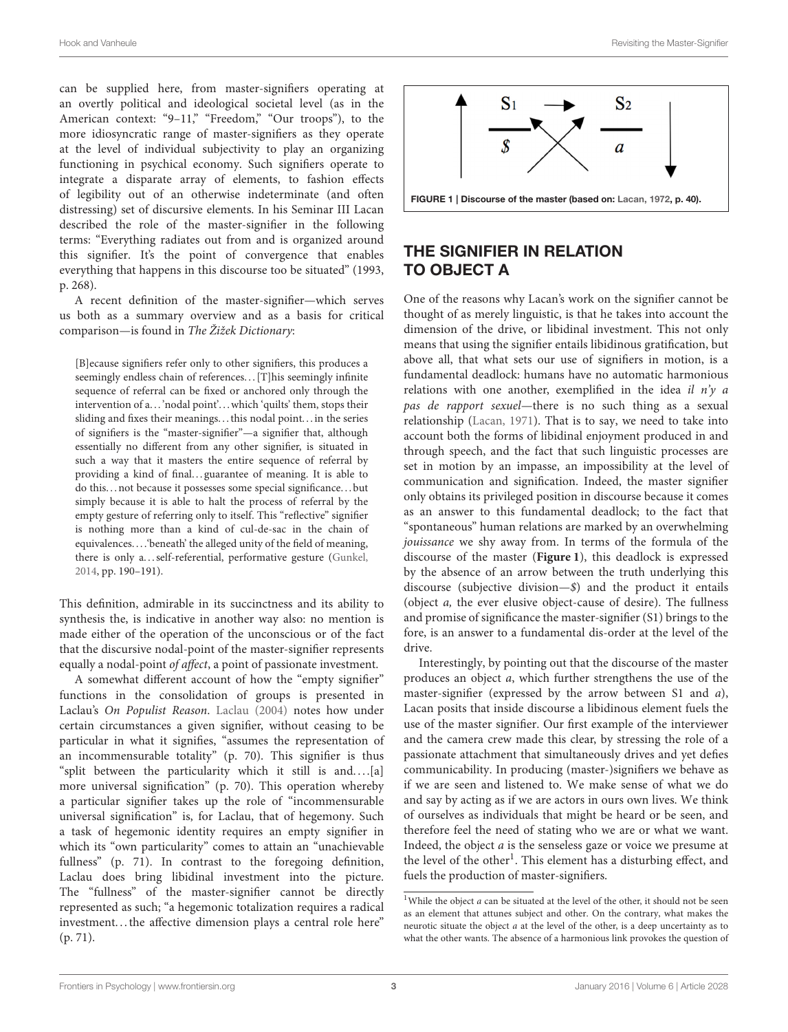can be supplied here, from master-signifiers operating at an overtly political and ideological societal level (as in the American context: "9-11," "Freedom," "Our troops"), to the more idiosyncratic range of master-signifiers as they operate at the level of individual subjectivity to play an organizing functioning in psychical economy. Such signifiers operate to integrate a disparate array of elements, to fashion effects of legibility out of an otherwise indeterminate (and often distressing) set of discursive elements. In his Seminar III Lacan described the role of the master-signifier in the following terms: "Everything radiates out from and is organized around this signifier. It's the point of convergence that enables everything that happens in this discourse too be situated" (1993, p. 268).

A recent definition of the master-signifier—which serves us both as a summary overview and as a basis for critical comparison—is found in The Žižek Dictionary:

[B]ecause signifiers refer only to other signifiers, this produces a seemingly endless chain of references... [T]his seemingly infinite sequence of referral can be fixed or anchored only through the intervention of a...'nodal point'...which 'quilts' them, stops their sliding and fixes their meanings. . . this nodal point. . . in the series of signifiers is the "master-signifier"—a signifier that, although essentially no different from any other signifier, is situated in such a way that it masters the entire sequence of referral by providing a kind of final...guarantee of meaning. It is able to do this. . . not because it possesses some special significance. . . but simply because it is able to halt the process of referral by the empty gesture of referring only to itself. This "reflective" signifier is nothing more than a kind of cul-de-sac in the chain of equivalences. . . .'beneath' the alleged unity of the field of meaning, there is only a. . . self-referential, performative gesture [\(Gunkel,](#page-9-8) [2014,](#page-9-8) pp. 190–191).

This definition, admirable in its succinctness and its ability to synthesis the, is indicative in another way also: no mention is made either of the operation of the unconscious or of the fact that the discursive nodal-point of the master-signifier represents equally a nodal-point of affect, a point of passionate investment.

A somewhat different account of how the "empty signifier" functions in the consolidation of groups is presented in Laclau's On Populist Reason. [Laclau \(2004\)](#page-9-9) notes how under certain circumstances a given signifier, without ceasing to be particular in what it signifies, "assumes the representation of an incommensurable totality" (p. 70). This signifier is thus "split between the particularity which it still is and. . . .[a] more universal signification" (p. 70). This operation whereby a particular signifier takes up the role of "incommensurable universal signification" is, for Laclau, that of hegemony. Such a task of hegemonic identity requires an empty signifier in which its "own particularity" comes to attain an "unachievable fullness" (p. 71). In contrast to the foregoing definition, Laclau does bring libidinal investment into the picture. The "fullness" of the master-signifier cannot be directly represented as such; "a hegemonic totalization requires a radical investment...the affective dimension plays a central role here" (p. 71).



## <span id="page-2-0"></span>THE SIGNIFIER IN RELATION TO OBJECT A

One of the reasons why Lacan's work on the signifier cannot be thought of as merely linguistic, is that he takes into account the dimension of the drive, or libidinal investment. This not only means that using the signifier entails libidinous gratification, but above all, that what sets our use of signifiers in motion, is a fundamental deadlock: humans have no automatic harmonious relations with one another, exemplified in the idea il  $n'y a$ pas de rapport sexuel—there is no such thing as a sexual relationship [\(Lacan, 1971\)](#page-9-11). That is to say, we need to take into account both the forms of libidinal enjoyment produced in and through speech, and the fact that such linguistic processes are set in motion by an impasse, an impossibility at the level of communication and signification. Indeed, the master signifier only obtains its privileged position in discourse because it comes as an answer to this fundamental deadlock; to the fact that "spontaneous" human relations are marked by an overwhelming jouissance we shy away from. In terms of the formula of the discourse of the master (**[Figure 1](#page-2-0)**), this deadlock is expressed by the absence of an arrow between the truth underlying this discourse (subjective division—\$) and the product it entails (object a, the ever elusive object-cause of desire). The fullness and promise of significance the master-signifier (S1) brings to the fore, is an answer to a fundamental dis-order at the level of the drive.

Interestingly, by pointing out that the discourse of the master produces an object a, which further strengthens the use of the master-signifier (expressed by the arrow between S1 and a), Lacan posits that inside discourse a libidinous element fuels the use of the master signifier. Our first example of the interviewer and the camera crew made this clear, by stressing the role of a passionate attachment that simultaneously drives and yet defies communicability. In producing (master-)signifiers we behave as if we are seen and listened to. We make sense of what we do and say by acting as if we are actors in ours own lives. We think of ourselves as individuals that might be heard or be seen, and therefore feel the need of stating who we are or what we want. Indeed, the object  $a$  is the senseless gaze or voice we presume at the level of the other<sup>[1](#page-2-1)</sup>. This element has a disturbing effect, and fuels the production of master-signifiers.

<span id="page-2-1"></span><sup>&</sup>lt;sup>1</sup>While the object  $a$  can be situated at the level of the other, it should not be seen as an element that attunes subject and other. On the contrary, what makes the neurotic situate the object a at the level of the other, is a deep uncertainty as to what the other wants. The absence of a harmonious link provokes the question of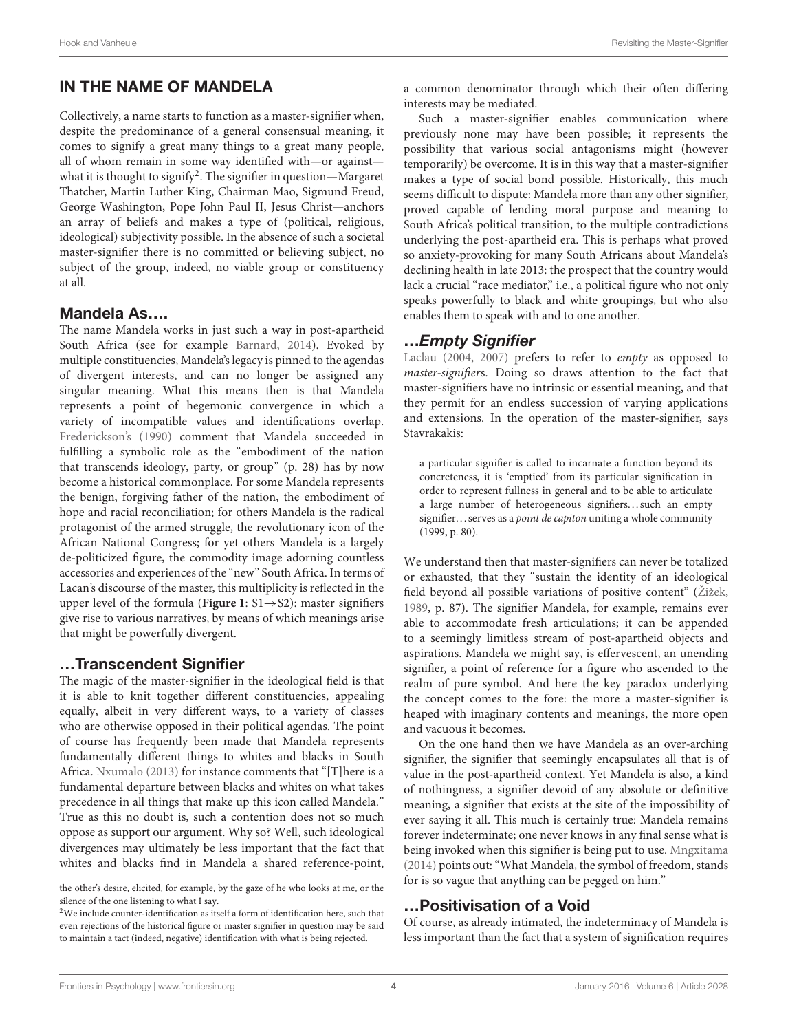## IN THE NAME OF MANDELA

Collectively, a name starts to function as a master-signifier when, despite the predominance of a general consensual meaning, it comes to signify a great many things to a great many people, all of whom remain in some way identified with—or against— what it is thought to signify<sup>[2](#page-3-0)</sup>. The signifier in question—Margaret Thatcher, Martin Luther King, Chairman Mao, Sigmund Freud, George Washington, Pope John Paul II, Jesus Christ—anchors an array of beliefs and makes a type of (political, religious, ideological) subjectivity possible. In the absence of such a societal master-signifier there is no committed or believing subject, no subject of the group, indeed, no viable group or constituency at all.

#### Mandela As….

The name Mandela works in just such a way in post-apartheid South Africa (see for example [Barnard, 2014\)](#page-8-1). Evoked by multiple constituencies, Mandela's legacy is pinned to the agendas of divergent interests, and can no longer be assigned any singular meaning. What this means then is that Mandela represents a point of hegemonic convergence in which a variety of incompatible values and identifications overlap. [Frederickson's \(1990\)](#page-8-2) comment that Mandela succeeded in fulfilling a symbolic role as the "embodiment of the nation that transcends ideology, party, or group" (p. 28) has by now become a historical commonplace. For some Mandela represents the benign, forgiving father of the nation, the embodiment of hope and racial reconciliation; for others Mandela is the radical protagonist of the armed struggle, the revolutionary icon of the African National Congress; for yet others Mandela is a largely de-politicized figure, the commodity image adorning countless accessories and experiences of the "new" South Africa. In terms of Lacan's discourse of the master, this multiplicity is reflected in the upper level of the formula (**[Figure 1](#page-2-0)**: S1→S2): master signifiers give rise to various narratives, by means of which meanings arise that might be powerfully divergent.

### …Transcendent Signifier

The magic of the master-signifier in the ideological field is that it is able to knit together different constituencies, appealing equally, albeit in very different ways, to a variety of classes who are otherwise opposed in their political agendas. The point of course has frequently been made that Mandela represents fundamentally different things to whites and blacks in South Africa. [Nxumalo \(2013\)](#page-9-12) for instance comments that "[T]here is a fundamental departure between blacks and whites on what takes precedence in all things that make up this icon called Mandela." True as this no doubt is, such a contention does not so much oppose as support our argument. Why so? Well, such ideological divergences may ultimately be less important that the fact that whites and blacks find in Mandela a shared reference-point,

Such a master-signifier enables communication where previously none may have been possible; it represents the possibility that various social antagonisms might (however temporarily) be overcome. It is in this way that a master-signifier makes a type of social bond possible. Historically, this much seems difficult to dispute: Mandela more than any other signifier, proved capable of lending moral purpose and meaning to South Africa's political transition, to the multiple contradictions underlying the post-apartheid era. This is perhaps what proved so anxiety-provoking for many South Africans about Mandela's declining health in late 2013: the prospect that the country would lack a crucial "race mediator," i.e., a political figure who not only speaks powerfully to black and white groupings, but who also enables them to speak with and to one another.

## …Empty Signifier

[Laclau \(2004,](#page-9-9) [2007\)](#page-9-4) prefers to refer to empty as opposed to master-signifiers. Doing so draws attention to the fact that master-signifiers have no intrinsic or essential meaning, and that they permit for an endless succession of varying applications and extensions. In the operation of the master-signifier, says Stavrakakis:

a particular signifier is called to incarnate a function beyond its concreteness, it is 'emptied' from its particular signification in order to represent fullness in general and to be able to articulate a large number of heterogeneous signifiers...such an empty signifier... serves as a *point de capiton* uniting a whole community (1999, p. 80).

We understand then that master-signifiers can never be totalized or exhausted, that they "sustain the identity of an ideological field beyond all possible variations of positive content" [\(Žižek,](#page-9-13) [1989,](#page-9-13) p. 87). The signifier Mandela, for example, remains ever able to accommodate fresh articulations; it can be appended to a seemingly limitless stream of post-apartheid objects and aspirations. Mandela we might say, is effervescent, an unending signifier, a point of reference for a figure who ascended to the realm of pure symbol. And here the key paradox underlying the concept comes to the fore: the more a master-signifier is heaped with imaginary contents and meanings, the more open and vacuous it becomes.

On the one hand then we have Mandela as an over-arching signifier, the signifier that seemingly encapsulates all that is of value in the post-apartheid context. Yet Mandela is also, a kind of nothingness, a signifier devoid of any absolute or definitive meaning, a signifier that exists at the site of the impossibility of ever saying it all. This much is certainly true: Mandela remains forever indeterminate; one never knows in any final sense what is being invoked when this signifier is being put to use. [Mngxitama](#page-9-14) [\(2014\)](#page-9-14) points out: "What Mandela, the symbol of freedom, stands for is so vague that anything can be pegged on him."

## …Positivisation of a Void

Of course, as already intimated, the indeterminacy of Mandela is less important than the fact that a system of signification requires

the other's desire, elicited, for example, by the gaze of he who looks at me, or the silence of the one listening to what I say.

<span id="page-3-0"></span> $2$ We include counter-identification as itself a form of identification here, such that even rejections of the historical figure or master signifier in question may be said to maintain a tact (indeed, negative) identification with what is being rejected.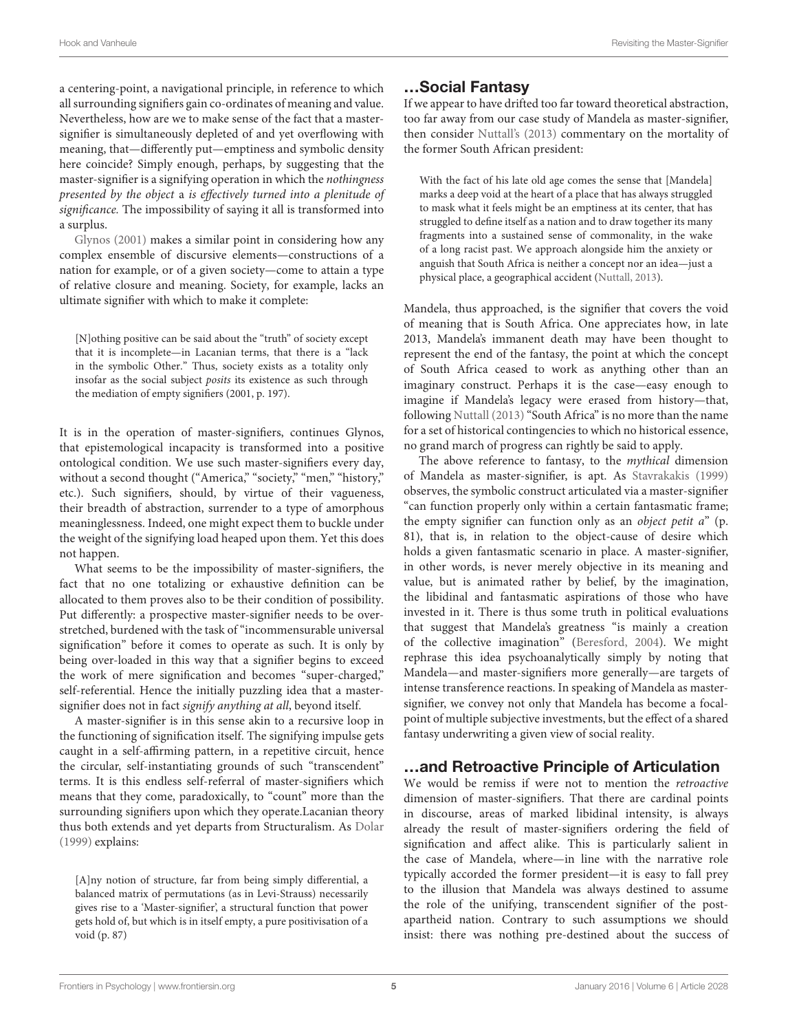a centering-point, a navigational principle, in reference to which all surrounding signifiers gain co-ordinates of meaning and value. Nevertheless, how are we to make sense of the fact that a mastersignifier is simultaneously depleted of and yet overflowing with meaning, that—differently put—emptiness and symbolic density here coincide? Simply enough, perhaps, by suggesting that the master-signifier is a signifying operation in which the nothingness presented by the object a is effectively turned into a plenitude of significance. The impossibility of saying it all is transformed into a surplus.

[Glynos \(2001\)](#page-8-3) makes a similar point in considering how any complex ensemble of discursive elements—constructions of a nation for example, or of a given society—come to attain a type of relative closure and meaning. Society, for example, lacks an ultimate signifier with which to make it complete:

[N]othing positive can be said about the "truth" of society except that it is incomplete—in Lacanian terms, that there is a "lack in the symbolic Other." Thus, society exists as a totality only insofar as the social subject posits its existence as such through the mediation of empty signifiers (2001, p. 197).

It is in the operation of master-signifiers, continues Glynos, that epistemological incapacity is transformed into a positive ontological condition. We use such master-signifiers every day, without a second thought ("America," "society," "men," "history," etc.). Such signifiers, should, by virtue of their vagueness, their breadth of abstraction, surrender to a type of amorphous meaninglessness. Indeed, one might expect them to buckle under the weight of the signifying load heaped upon them. Yet this does not happen.

What seems to be the impossibility of master-signifiers, the fact that no one totalizing or exhaustive definition can be allocated to them proves also to be their condition of possibility. Put differently: a prospective master-signifier needs to be overstretched, burdened with the task of "incommensurable universal signification" before it comes to operate as such. It is only by being over-loaded in this way that a signifier begins to exceed the work of mere signification and becomes "super-charged," self-referential. Hence the initially puzzling idea that a mastersignifier does not in fact signify anything at all, beyond itself.

A master-signifier is in this sense akin to a recursive loop in the functioning of signification itself. The signifying impulse gets caught in a self-affirming pattern, in a repetitive circuit, hence the circular, self-instantiating grounds of such "transcendent" terms. It is this endless self-referral of master-signifiers which means that they come, paradoxically, to "count" more than the surrounding signifiers upon which they operate.Lacanian theory thus both extends and yet departs from Structuralism. As [Dolar](#page-8-4) [\(1999\)](#page-8-4) explains:

[A]ny notion of structure, far from being simply differential, a balanced matrix of permutations (as in Levi-Strauss) necessarily gives rise to a 'Master-signifier', a structural function that power gets hold of, but which is in itself empty, a pure positivisation of a void (p. 87)

## …Social Fantasy

If we appear to have drifted too far toward theoretical abstraction, too far away from our case study of Mandela as master-signifier, then consider [Nuttall's \(2013\)](#page-9-15) commentary on the mortality of the former South African president:

With the fact of his late old age comes the sense that [Mandela] marks a deep void at the heart of a place that has always struggled to mask what it feels might be an emptiness at its center, that has struggled to define itself as a nation and to draw together its many fragments into a sustained sense of commonality, in the wake of a long racist past. We approach alongside him the anxiety or anguish that South Africa is neither a concept nor an idea—just a physical place, a geographical accident [\(Nuttall, 2013\)](#page-9-15).

Mandela, thus approached, is the signifier that covers the void of meaning that is South Africa. One appreciates how, in late 2013, Mandela's immanent death may have been thought to represent the end of the fantasy, the point at which the concept of South Africa ceased to work as anything other than an imaginary construct. Perhaps it is the case—easy enough to imagine if Mandela's legacy were erased from history—that, following [Nuttall \(2013\)](#page-9-15) "South Africa" is no more than the name for a set of historical contingencies to which no historical essence, no grand march of progress can rightly be said to apply.

The above reference to fantasy, to the mythical dimension of Mandela as master-signifier, is apt. As [Stavrakakis \(1999\)](#page-9-3) observes, the symbolic construct articulated via a master-signifier "can function properly only within a certain fantasmatic frame; the empty signifier can function only as an object petit  $a^*$  (p. 81), that is, in relation to the object-cause of desire which holds a given fantasmatic scenario in place. A master-signifier, in other words, is never merely objective in its meaning and value, but is animated rather by belief, by the imagination, the libidinal and fantasmatic aspirations of those who have invested in it. There is thus some truth in political evaluations that suggest that Mandela's greatness "is mainly a creation of the collective imagination" [\(Beresford, 2004\)](#page-8-5). We might rephrase this idea psychoanalytically simply by noting that Mandela—and master-signifiers more generally—are targets of intense transference reactions. In speaking of Mandela as mastersignifier, we convey not only that Mandela has become a focalpoint of multiple subjective investments, but the effect of a shared fantasy underwriting a given view of social reality.

## …and Retroactive Principle of Articulation

We would be remiss if were not to mention the retroactive dimension of master-signifiers. That there are cardinal points in discourse, areas of marked libidinal intensity, is always already the result of master-signifiers ordering the field of signification and affect alike. This is particularly salient in the case of Mandela, where—in line with the narrative role typically accorded the former president—it is easy to fall prey to the illusion that Mandela was always destined to assume the role of the unifying, transcendent signifier of the postapartheid nation. Contrary to such assumptions we should insist: there was nothing pre-destined about the success of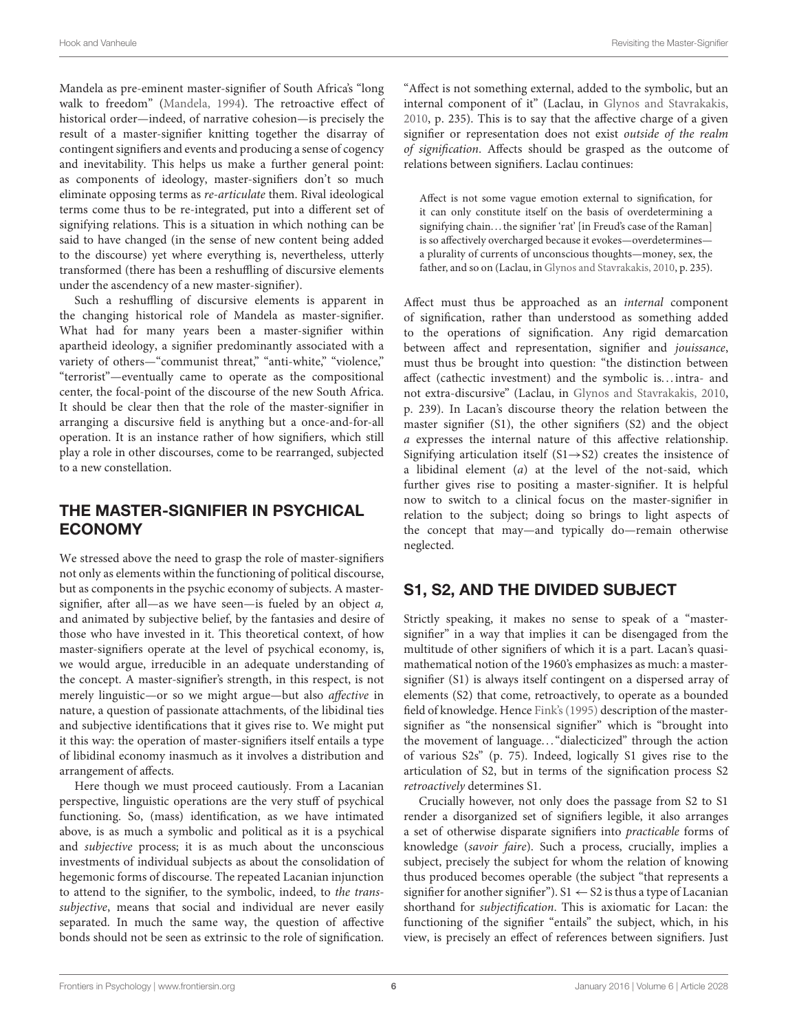Mandela as pre-eminent master-signifier of South Africa's "long walk to freedom" [\(Mandela, 1994\)](#page-9-16). The retroactive effect of historical order—indeed, of narrative cohesion—is precisely the result of a master-signifier knitting together the disarray of contingent signifiers and events and producing a sense of cogency and inevitability. This helps us make a further general point: as components of ideology, master-signifiers don't so much eliminate opposing terms as re-articulate them. Rival ideological terms come thus to be re-integrated, put into a different set of signifying relations. This is a situation in which nothing can be said to have changed (in the sense of new content being added to the discourse) yet where everything is, nevertheless, utterly transformed (there has been a reshuffling of discursive elements under the ascendency of a new master-signifier).

Such a reshuffling of discursive elements is apparent in the changing historical role of Mandela as master-signifier. What had for many years been a master-signifier within apartheid ideology, a signifier predominantly associated with a variety of others—"communist threat," "anti-white," "violence," "terrorist"—eventually came to operate as the compositional center, the focal-point of the discourse of the new South Africa. It should be clear then that the role of the master-signifier in arranging a discursive field is anything but a once-and-for-all operation. It is an instance rather of how signifiers, which still play a role in other discourses, come to be rearranged, subjected to a new constellation.

# THE MASTER-SIGNIFIER IN PSYCHICAL ECONOMY

We stressed above the need to grasp the role of master-signifiers not only as elements within the functioning of political discourse, but as components in the psychic economy of subjects. A mastersignifier, after all—as we have seen—is fueled by an object a, and animated by subjective belief, by the fantasies and desire of those who have invested in it. This theoretical context, of how master-signifiers operate at the level of psychical economy, is, we would argue, irreducible in an adequate understanding of the concept. A master-signifier's strength, in this respect, is not merely linguistic—or so we might argue—but also affective in nature, a question of passionate attachments, of the libidinal ties and subjective identifications that it gives rise to. We might put it this way: the operation of master-signifiers itself entails a type of libidinal economy inasmuch as it involves a distribution and arrangement of affects.

Here though we must proceed cautiously. From a Lacanian perspective, linguistic operations are the very stuff of psychical functioning. So, (mass) identification, as we have intimated above, is as much a symbolic and political as it is a psychical and subjective process; it is as much about the unconscious investments of individual subjects as about the consolidation of hegemonic forms of discourse. The repeated Lacanian injunction to attend to the signifier, to the symbolic, indeed, to the transsubjective, means that social and individual are never easily separated. In much the same way, the question of affective bonds should not be seen as extrinsic to the role of signification. "Affect is not something external, added to the symbolic, but an internal component of it" (Laclau, in [Glynos and Stavrakakis,](#page-9-17) [2010,](#page-9-17) p. 235). This is to say that the affective charge of a given signifier or representation does not exist outside of the realm of signification. Affects should be grasped as the outcome of relations between signifiers. Laclau continues:

Affect is not some vague emotion external to signification, for it can only constitute itself on the basis of overdetermining a signifying chain. . . the signifier 'rat' [in Freud's case of the Raman] is so affectively overcharged because it evokes—overdetermines a plurality of currents of unconscious thoughts—money, sex, the father, and so on (Laclau, in [Glynos and Stavrakakis, 2010,](#page-9-17) p. 235).

Affect must thus be approached as an internal component of signification, rather than understood as something added to the operations of signification. Any rigid demarcation between affect and representation, signifier and jouissance, must thus be brought into question: "the distinction between affect (cathectic investment) and the symbolic is. . . intra- and not extra-discursive" (Laclau, in [Glynos and Stavrakakis, 2010,](#page-9-17) p. 239). In Lacan's discourse theory the relation between the master signifier (S1), the other signifiers (S2) and the object a expresses the internal nature of this affective relationship. Signifying articulation itself (S1 $\rightarrow$ S2) creates the insistence of a libidinal element  $(a)$  at the level of the not-said, which further gives rise to positing a master-signifier. It is helpful now to switch to a clinical focus on the master-signifier in relation to the subject; doing so brings to light aspects of the concept that may—and typically do—remain otherwise neglected.

# S1, S2, AND THE DIVIDED SUBJECT

Strictly speaking, it makes no sense to speak of a "mastersignifier" in a way that implies it can be disengaged from the multitude of other signifiers of which it is a part. Lacan's quasimathematical notion of the 1960's emphasizes as much: a mastersignifier (S1) is always itself contingent on a dispersed array of elements (S2) that come, retroactively, to operate as a bounded field of knowledge. Hence [Fink's \(1995\)](#page-8-6) description of the mastersignifier as "the nonsensical signifier" which is "brought into the movement of language. . . "dialecticized" through the action of various S2s" (p. 75). Indeed, logically S1 gives rise to the articulation of S2, but in terms of the signification process S2 retroactively determines S1.

Crucially however, not only does the passage from S2 to S1 render a disorganized set of signifiers legible, it also arranges a set of otherwise disparate signifiers into practicable forms of knowledge (savoir faire). Such a process, crucially, implies a subject, precisely the subject for whom the relation of knowing thus produced becomes operable (the subject "that represents a signifier for another signifier"). S1  $\leftarrow$  S2 is thus a type of Lacanian shorthand for subjectification. This is axiomatic for Lacan: the functioning of the signifier "entails" the subject, which, in his view, is precisely an effect of references between signifiers. Just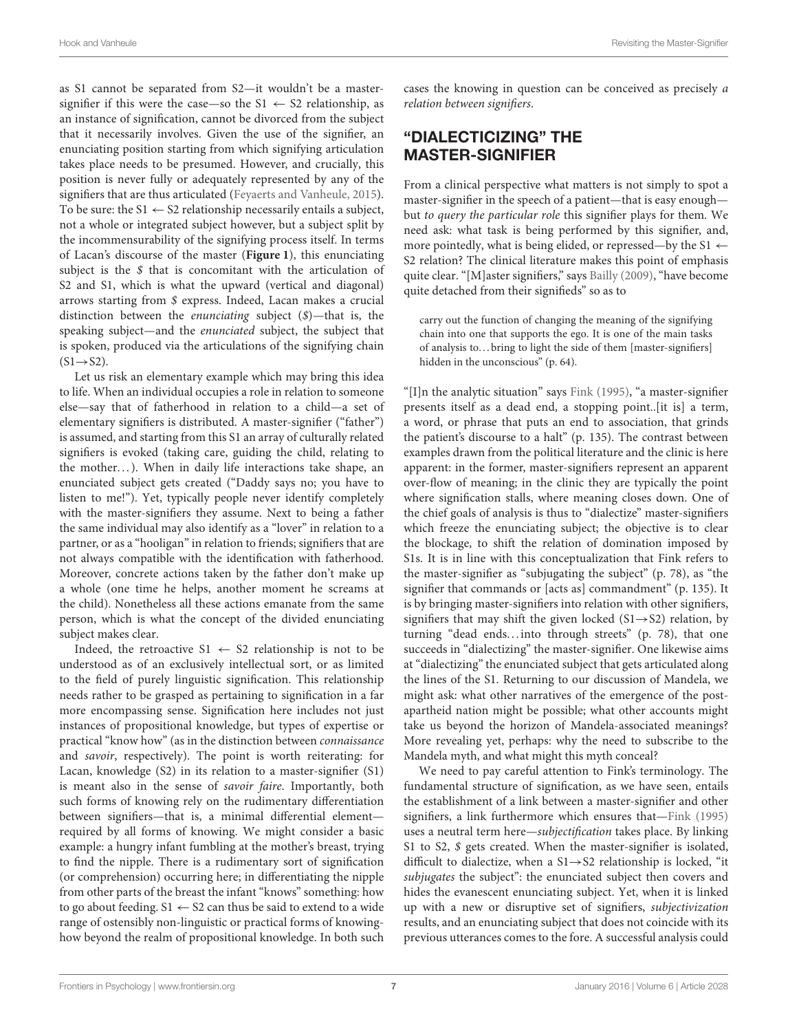as S1 cannot be separated from S2—it wouldn't be a mastersignifier if this were the case—so the  $S1 \leftarrow S2$  relationship, as an instance of signification, cannot be divorced from the subject that it necessarily involves. Given the use of the signifier, an enunciating position starting from which signifying articulation takes place needs to be presumed. However, and crucially, this position is never fully or adequately represented by any of the signifiers that are thus articulated [\(Feyaerts and Vanheule, 2015\)](#page-8-7). To be sure: the  $S1 \leftarrow S2$  relationship necessarily entails a subject, not a whole or integrated subject however, but a subject split by the incommensurability of the signifying process itself. In terms of Lacan's discourse of the master (**[Figure 1](#page-2-0)**), this enunciating subject is the  $$$  that is concomitant with the articulation of S2 and S1, which is what the upward (vertical and diagonal) arrows starting from \$ express. Indeed, Lacan makes a crucial distinction between the enunciating subject (\$)—that is, the speaking subject—and the enunciated subject, the subject that is spoken, produced via the articulations of the signifying chain  $(S1 \rightarrow S2)$ .

Let us risk an elementary example which may bring this idea to life. When an individual occupies a role in relation to someone else—say that of fatherhood in relation to a child—a set of elementary signifiers is distributed. A master-signifier ("father") is assumed, and starting from this S1 an array of culturally related signifiers is evoked (taking care, guiding the child, relating to the mother...). When in daily life interactions take shape, an enunciated subject gets created ("Daddy says no; you have to listen to me!"). Yet, typically people never identify completely with the master-signifiers they assume. Next to being a father the same individual may also identify as a "lover" in relation to a partner, or as a "hooligan" in relation to friends; signifiers that are not always compatible with the identification with fatherhood. Moreover, concrete actions taken by the father don't make up a whole (one time he helps, another moment he screams at the child). Nonetheless all these actions emanate from the same person, which is what the concept of the divided enunciating subject makes clear.

Indeed, the retroactive  $S1 \leftarrow S2$  relationship is not to be understood as of an exclusively intellectual sort, or as limited to the field of purely linguistic signification. This relationship needs rather to be grasped as pertaining to signification in a far more encompassing sense. Signification here includes not just instances of propositional knowledge, but types of expertise or practical "know how" (as in the distinction between connaissance and savoir, respectively). The point is worth reiterating: for Lacan, knowledge (S2) in its relation to a master-signifier (S1) is meant also in the sense of savoir faire. Importantly, both such forms of knowing rely on the rudimentary differentiation between signifiers—that is, a minimal differential element required by all forms of knowing. We might consider a basic example: a hungry infant fumbling at the mother's breast, trying to find the nipple. There is a rudimentary sort of signification (or comprehension) occurring here; in differentiating the nipple from other parts of the breast the infant "knows" something: how to go about feeding.  $S1 \leftarrow S2$  can thus be said to extend to a wide range of ostensibly non-linguistic or practical forms of knowinghow beyond the realm of propositional knowledge. In both such cases the knowing in question can be conceived as precisely a relation between signifiers.

## "DIALECTICIZING" THE MASTER-SIGNIFIER

From a clinical perspective what matters is not simply to spot a master-signifier in the speech of a patient—that is easy enough but to query the particular role this signifier plays for them. We need ask: what task is being performed by this signifier, and, more pointedly, what is being elided, or repressed—by the S1  $\leftarrow$ S2 relation? The clinical literature makes this point of emphasis quite clear. "[M]aster signifiers," says [Bailly \(2009\)](#page-8-8), "have become quite detached from their signifieds" so as to

carry out the function of changing the meaning of the signifying chain into one that supports the ego. It is one of the main tasks of analysis to... bring to light the side of them [master-signifiers] hidden in the unconscious" (p. 64).

"[I]n the analytic situation" says [Fink \(1995\)](#page-8-6), "a master-signifier presents itself as a dead end, a stopping point..[it is] a term, a word, or phrase that puts an end to association, that grinds the patient's discourse to a halt" (p. 135). The contrast between examples drawn from the political literature and the clinic is here apparent: in the former, master-signifiers represent an apparent over-flow of meaning; in the clinic they are typically the point where signification stalls, where meaning closes down. One of the chief goals of analysis is thus to "dialectize" master-signifiers which freeze the enunciating subject; the objective is to clear the blockage, to shift the relation of domination imposed by S1s. It is in line with this conceptualization that Fink refers to the master-signifier as "subjugating the subject" (p. 78), as "the signifier that commands or [acts as] commandment" (p. 135). It is by bringing master-signifiers into relation with other signifiers, signifiers that may shift the given locked  $(S1 \rightarrow S2)$  relation, by turning "dead ends...into through streets" (p. 78), that one succeeds in "dialectizing" the master-signifier. One likewise aims at "dialectizing" the enunciated subject that gets articulated along the lines of the S1. Returning to our discussion of Mandela, we might ask: what other narratives of the emergence of the postapartheid nation might be possible; what other accounts might take us beyond the horizon of Mandela-associated meanings? More revealing yet, perhaps: why the need to subscribe to the Mandela myth, and what might this myth conceal?

We need to pay careful attention to Fink's terminology. The fundamental structure of signification, as we have seen, entails the establishment of a link between a master-signifier and other signifiers, a link furthermore which ensures that[—Fink \(1995\)](#page-8-6) uses a neutral term here—subjectification takes place. By linking S1 to S2, \$ gets created. When the master-signifier is isolated, difficult to dialectize, when a S1→S2 relationship is locked, "it subjugates the subject": the enunciated subject then covers and hides the evanescent enunciating subject. Yet, when it is linked up with a new or disruptive set of signifiers, subjectivization results, and an enunciating subject that does not coincide with its previous utterances comes to the fore. A successful analysis could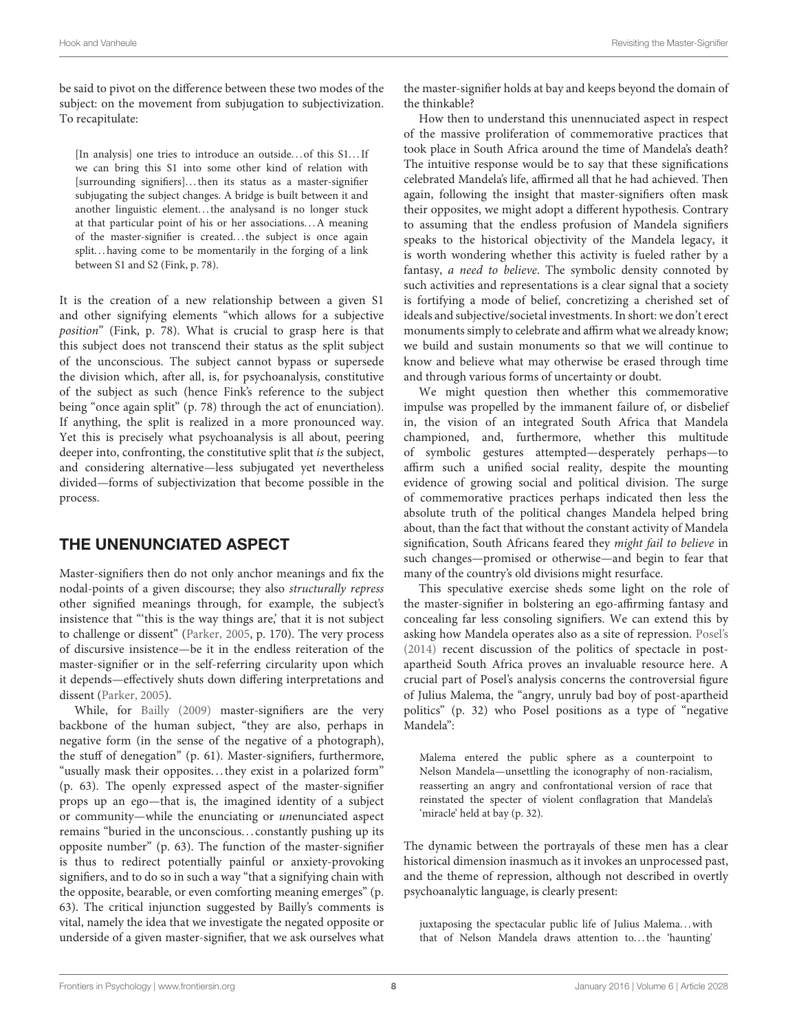be said to pivot on the difference between these two modes of the subject: on the movement from subjugation to subjectivization. To recapitulate:

[In analysis] one tries to introduce an outside...of this S1...If we can bring this S1 into some other kind of relation with [surrounding signifiers]...then its status as a master-signifier subjugating the subject changes. A bridge is built between it and another linguistic element...the analysand is no longer stuck at that particular point of his or her associations. . .A meaning of the master-signifier is created. . . the subject is once again split. . . having come to be momentarily in the forging of a link between S1 and S2 (Fink, p. 78).

It is the creation of a new relationship between a given S1 and other signifying elements "which allows for a subjective position" (Fink, p. 78). What is crucial to grasp here is that this subject does not transcend their status as the split subject of the unconscious. The subject cannot bypass or supersede the division which, after all, is, for psychoanalysis, constitutive of the subject as such (hence Fink's reference to the subject being "once again split" (p. 78) through the act of enunciation). If anything, the split is realized in a more pronounced way. Yet this is precisely what psychoanalysis is all about, peering deeper into, confronting, the constitutive split that is the subject, and considering alternative—less subjugated yet nevertheless divided—forms of subjectivization that become possible in the process.

## THE UNENUNCIATED ASPECT

Master-signifiers then do not only anchor meanings and fix the nodal-points of a given discourse; they also structurally repress other signified meanings through, for example, the subject's insistence that "'this is the way things are,' that it is not subject to challenge or dissent" [\(Parker, 2005,](#page-9-18) p. 170). The very process of discursive insistence—be it in the endless reiteration of the master-signifier or in the self-referring circularity upon which it depends—effectively shuts down differing interpretations and dissent [\(Parker, 2005\)](#page-9-18).

While, for [Bailly \(2009\)](#page-8-8) master-signifiers are the very backbone of the human subject, "they are also, perhaps in negative form (in the sense of the negative of a photograph), the stuff of denegation" (p. 61). Master-signifiers, furthermore, "usually mask their opposites. . . they exist in a polarized form" (p. 63). The openly expressed aspect of the master-signifier props up an ego—that is, the imagined identity of a subject or community—while the enunciating or unenunciated aspect remains "buried in the unconscious. . . constantly pushing up its opposite number" (p. 63). The function of the master-signifier is thus to redirect potentially painful or anxiety-provoking signifiers, and to do so in such a way "that a signifying chain with the opposite, bearable, or even comforting meaning emerges" (p. 63). The critical injunction suggested by Bailly's comments is vital, namely the idea that we investigate the negated opposite or underside of a given master-signifier, that we ask ourselves what the master-signifier holds at bay and keeps beyond the domain of the thinkable?

How then to understand this unennuciated aspect in respect of the massive proliferation of commemorative practices that took place in South Africa around the time of Mandela's death? The intuitive response would be to say that these significations celebrated Mandela's life, affirmed all that he had achieved. Then again, following the insight that master-signifiers often mask their opposites, we might adopt a different hypothesis. Contrary to assuming that the endless profusion of Mandela signifiers speaks to the historical objectivity of the Mandela legacy, it is worth wondering whether this activity is fueled rather by a fantasy, a need to believe. The symbolic density connoted by such activities and representations is a clear signal that a society is fortifying a mode of belief, concretizing a cherished set of ideals and subjective/societal investments. In short: we don't erect monuments simply to celebrate and affirm what we already know; we build and sustain monuments so that we will continue to know and believe what may otherwise be erased through time and through various forms of uncertainty or doubt.

We might question then whether this commemorative impulse was propelled by the immanent failure of, or disbelief in, the vision of an integrated South Africa that Mandela championed, and, furthermore, whether this multitude of symbolic gestures attempted—desperately perhaps—to affirm such a unified social reality, despite the mounting evidence of growing social and political division. The surge of commemorative practices perhaps indicated then less the absolute truth of the political changes Mandela helped bring about, than the fact that without the constant activity of Mandela signification, South Africans feared they might fail to believe in such changes—promised or otherwise—and begin to fear that many of the country's old divisions might resurface.

This speculative exercise sheds some light on the role of the master-signifier in bolstering an ego-affirming fantasy and concealing far less consoling signifiers. We can extend this by asking how Mandela operates also as a site of repression. [Posel's](#page-9-19) [\(2014\)](#page-9-19) recent discussion of the politics of spectacle in postapartheid South Africa proves an invaluable resource here. A crucial part of Posel's analysis concerns the controversial figure of Julius Malema, the "angry, unruly bad boy of post-apartheid politics" (p. 32) who Posel positions as a type of "negative Mandela":

Malema entered the public sphere as a counterpoint to Nelson Mandela—unsettling the iconography of non-racialism, reasserting an angry and confrontational version of race that reinstated the specter of violent conflagration that Mandela's 'miracle' held at bay (p. 32).

The dynamic between the portrayals of these men has a clear historical dimension inasmuch as it invokes an unprocessed past, and the theme of repression, although not described in overtly psychoanalytic language, is clearly present:

juxtaposing the spectacular public life of Julius Malema...with that of Nelson Mandela draws attention to. . . the 'haunting'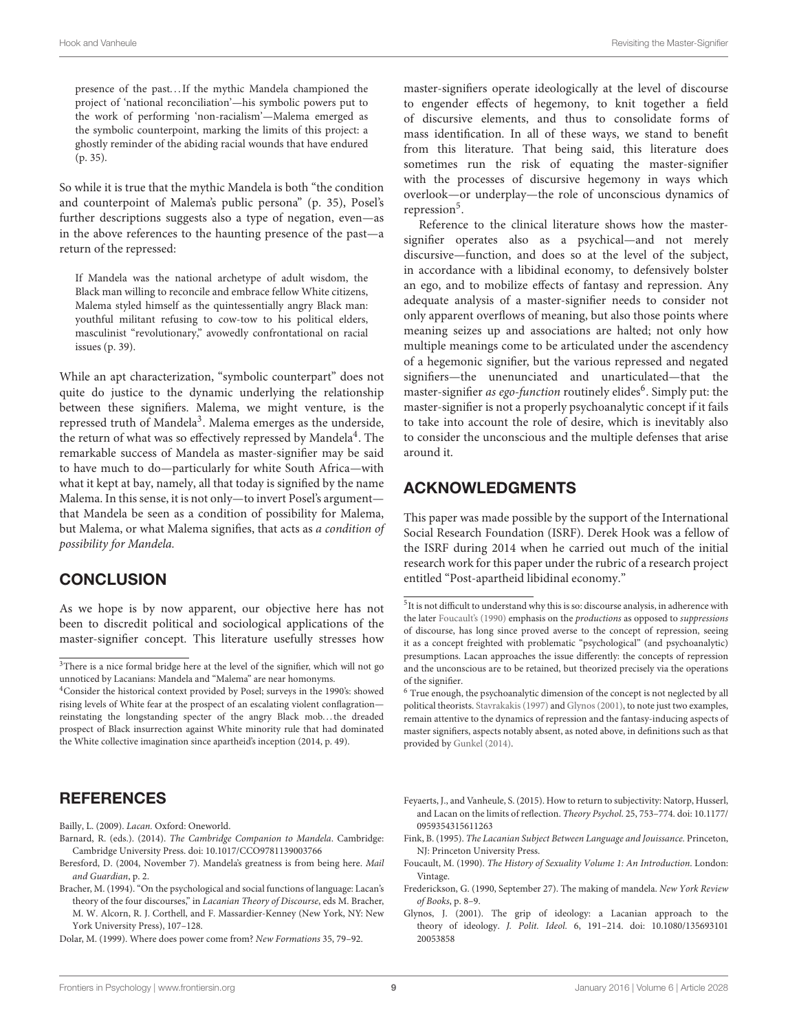presence of the past. . . If the mythic Mandela championed the project of 'national reconciliation'—his symbolic powers put to the work of performing 'non-racialism'—Malema emerged as the symbolic counterpoint, marking the limits of this project: a ghostly reminder of the abiding racial wounds that have endured (p. 35).

So while it is true that the mythic Mandela is both "the condition and counterpoint of Malema's public persona" (p. 35), Posel's further descriptions suggests also a type of negation, even—as in the above references to the haunting presence of the past—a return of the repressed:

If Mandela was the national archetype of adult wisdom, the Black man willing to reconcile and embrace fellow White citizens, Malema styled himself as the quintessentially angry Black man: youthful militant refusing to cow-tow to his political elders, masculinist "revolutionary," avowedly confrontational on racial issues (p. 39).

While an apt characterization, "symbolic counterpart" does not quite do justice to the dynamic underlying the relationship between these signifiers. Malema, we might venture, is the repressed truth of Mandela<sup>3</sup>. Malema emerges as the underside, the return of what was so effectively repressed by Mandela $^4$ . The remarkable success of Mandela as master-signifier may be said to have much to do—particularly for white South Africa—with what it kept at bay, namely, all that today is signified by the name Malema. In this sense, it is not only—to invert Posel's argument that Mandela be seen as a condition of possibility for Malema, but Malema, or what Malema signifies, that acts as a condition of possibility for Mandela.

## **CONCLUSION**

As we hope is by now apparent, our objective here has not been to discredit political and sociological applications of the master-signifier concept. This literature usefully stresses how

# **REFERENCES**

<span id="page-8-8"></span>Bailly, L. (2009). Lacan. Oxford: Oneworld.

- <span id="page-8-1"></span>Barnard, R. (eds.). (2014). The Cambridge Companion to Mandela. Cambridge: Cambridge University Press. doi: 10.1017/CCO9781139003766
- <span id="page-8-5"></span>Beresford, D. (2004, November 7). Mandela's greatness is from being here. Mail and Guardian, p. 2.
- <span id="page-8-0"></span>Bracher, M. (1994). "On the psychological and social functions of language: Lacan's theory of the four discourses," in Lacanian Theory of Discourse, eds M. Bracher, M. W. Alcorn, R. J. Corthell, and F. Massardier-Kenney (New York, NY: New York University Press), 107–128.

<span id="page-8-4"></span>Dolar, M. (1999). Where does power come from? New Formations 35, 79–92.

master-signifiers operate ideologically at the level of discourse to engender effects of hegemony, to knit together a field of discursive elements, and thus to consolidate forms of mass identification. In all of these ways, we stand to benefit from this literature. That being said, this literature does sometimes run the risk of equating the master-signifier with the processes of discursive hegemony in ways which overlook—or underplay—the role of unconscious dynamics of repression<sup>5</sup>.

Reference to the clinical literature shows how the mastersignifier operates also as a psychical—and not merely discursive—function, and does so at the level of the subject, in accordance with a libidinal economy, to defensively bolster an ego, and to mobilize effects of fantasy and repression. Any adequate analysis of a master-signifier needs to consider not only apparent overflows of meaning, but also those points where meaning seizes up and associations are halted; not only how multiple meanings come to be articulated under the ascendency of a hegemonic signifier, but the various repressed and negated signifiers—the unenunciated and unarticulated—that the master-signifier as ego-function routinely elides<sup>6</sup>. Simply put: the master-signifier is not a properly psychoanalytic concept if it fails to take into account the role of desire, which is inevitably also to consider the unconscious and the multiple defenses that arise around it.

## ACKNOWLEDGMENTS

This paper was made possible by the support of the International Social Research Foundation (ISRF). Derek Hook was a fellow of the ISRF during 2014 when he carried out much of the initial research work for this paper under the rubric of a research project entitled "Post-apartheid libidinal economy."

- <span id="page-8-7"></span>Feyaerts, J., and Vanheule, S. (2015). How to return to subjectivity: Natorp, Husserl, and Lacan on the limits of reflection. Theory Psychol. 25, 753–774. doi: 10.1177/ 0959354315611263
- <span id="page-8-6"></span>Fink, B. (1995). The Lacanian Subject Between Language and Jouissance. Princeton, NJ: Princeton University Press.
- <span id="page-8-9"></span>Foucault, M. (1990). The History of Sexuality Volume 1: An Introduction. London: Vintage.
- <span id="page-8-2"></span>Frederickson, G. (1990, September 27). The making of mandela. New York Review of Books, p. 8–9.
- <span id="page-8-3"></span>Glynos, J. (2001). The grip of ideology: a Lacanian approach to the theory of ideology. J. Polit. Ideol. 6, 191–214. doi: 10.1080/135693101 20053858

 ${}^{3}\mathrm{There}$  is a nice formal bridge here at the level of the signifier, which will not go unnoticed by Lacanians: Mandela and "Malema" are near homonyms.

<sup>4</sup>Consider the historical context provided by Posel; surveys in the 1990's: showed rising levels of White fear at the prospect of an escalating violent conflagration reinstating the longstanding specter of the angry Black mob. . . the dreaded prospect of Black insurrection against White minority rule that had dominated the White collective imagination since apartheid's inception (2014, p. 49).

<sup>5</sup> It is not difficult to understand why this is so: discourse analysis, in adherence with the later [Foucault's \(1990\)](#page-8-9) emphasis on the *productions* as opposed to *suppressions* of discourse, has long since proved averse to the concept of repression, seeing it as a concept freighted with problematic "psychological" (and psychoanalytic) presumptions. Lacan approaches the issue differently: the concepts of repression and the unconscious are to be retained, but theorized precisely via the operations of the signifier.

<sup>&</sup>lt;sup>6</sup> True enough, the psychoanalytic dimension of the concept is not neglected by all political theorists. [Stavrakakis \(1997\)](#page-9-2) and [Glynos \(2001\)](#page-8-3), to note just two examples, remain attentive to the dynamics of repression and the fantasy-inducing aspects of master signifiers, aspects notably absent, as noted above, in definitions such as that provided by [Gunkel \(2014\)](#page-9-8).